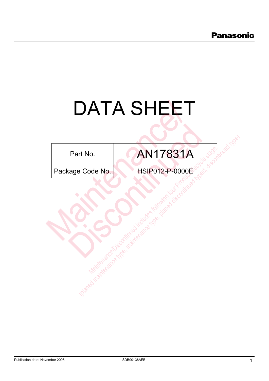# DATA SHEET

| Part No. |  |
|----------|--|
|----------|--|

Part No. **AN17831A** Io. AN17831A<br>Dde No. HSIP012-P-0000E The Code No. (a)  $\overline{AB17831A}$ <br>  $\overline{BCode No.}$   $\overline{AB1P012-P.0000E}$ 

AN17831A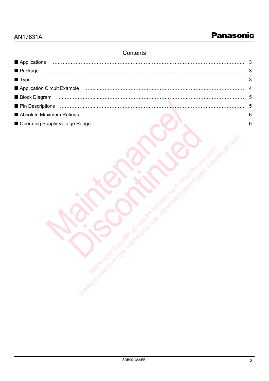# **Contents**

| Applications                                                                                                         | $\mathbf{3}$ |
|----------------------------------------------------------------------------------------------------------------------|--------------|
|                                                                                                                      |              |
|                                                                                                                      |              |
| Application Circuit Example (Mathematical According Application According Application Circuit Example                |              |
| <b>Block Diagram</b>                                                                                                 |              |
|                                                                                                                      |              |
| Absolute Maximum Ratings (and according to the control of the control of the control of the Absolute Maximum Ratings |              |
|                                                                                                                      |              |
|                                                                                                                      |              |

Maintenance Continued includes for the continued include the control of the control of the control of the control of the control of the control of the control of the control of the control of the control of the control of (planed maintenance types, planed discontinued types, and the planet discontinued typed, and the planet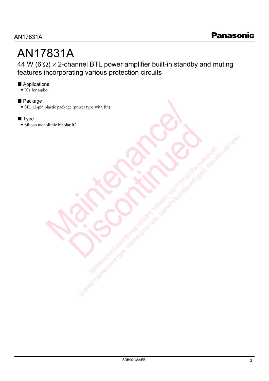# AN17831A

44 W (6  $\Omega$ ) × 2-channel BTL power amplifier built-in standby and muting features incorporating various protection circuits

### Applications

 $\bullet$  ICs for audio

### **Package**

• SIL 12-pin plastic package (power type with fin) plastic package (power type with fim)<br>olithic bipolar IC<br>contribution of the control of the control of the control of the control of the control of the control of the control of the control of the control of the control of

### $\blacksquare$  Type

• Silicon monolithic bipolar IC Discontinued No. 2019

Maintenance Continued includes for the continued include the control of the control of the control of the control of the control of the control of the control of the control of the control of the control of the control of (planed maintenance types, planed discontinued types, and the planet discontinued typed, and the planet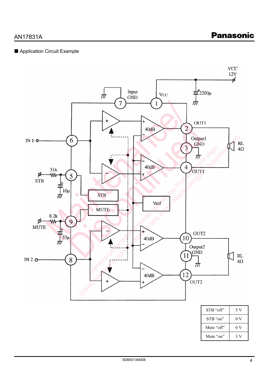# AN17831A

### Application Circuit Example



| STB "off"  | 5,             |
|------------|----------------|
| STB "on"   | 0 <sub>V</sub> |
| Mute "off" | 0 <sub>V</sub> |
| Mute "on"  |                |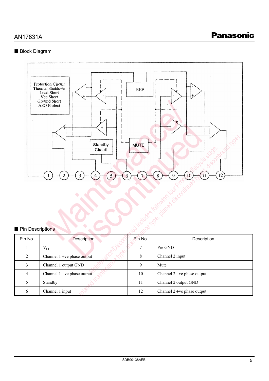### Block Diagram



### Pin Descriptions

| Pin Descriptions | ↘<br>Standby<br><b>MUTE</b><br>Circuit<br>12<br>3<br>2<br>5<br>9<br>8<br>10<br>7<br>Δ<br>6 |                |                             |  |  |  |  |
|------------------|--------------------------------------------------------------------------------------------|----------------|-----------------------------|--|--|--|--|
| Pin No.          | <b>Description</b>                                                                         | Pin No.        | Description                 |  |  |  |  |
| 1                | $\rm V_{CC}$                                                                               | $\overline{7}$ | Pre GND                     |  |  |  |  |
| $\overline{2}$   | Channel 1 +ve phase output                                                                 | $8\,$          | Channel 2 input             |  |  |  |  |
| $\overline{3}$   | Channel 1 output GND                                                                       | 9              | Mute                        |  |  |  |  |
| $\overline{4}$   | Channel 1-ve phase output                                                                  | $10\,$         | Channel 2 - ve phase output |  |  |  |  |
| 5                | Standby                                                                                    | 11             | Channel 2 output GND        |  |  |  |  |
| $\sqrt{6}$       | Channel 1 input                                                                            | 12             | Channel 2 +ve phase output  |  |  |  |  |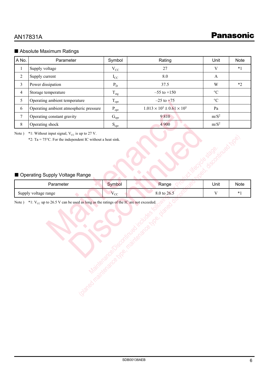### Absolute Maximum Ratings

| A No.            | Parameter                                                            | Symbol                    | Rating                                   | Unit              | <b>Note</b> |
|------------------|----------------------------------------------------------------------|---------------------------|------------------------------------------|-------------------|-------------|
| $\mathbf{1}$     | Supply voltage                                                       | $V_{CC}$                  | 27                                       | $\mathbf V$       | $*1$        |
| $\sqrt{2}$       | Supply current                                                       | $I_{CC}$                  | 8.0                                      | $\mathbf{A}$      |             |
| 3                | Power dissipation                                                    | $P_D$                     | 37.5                                     | W                 | $*2$        |
| $\overline{4}$   | Storage temperature                                                  | $T_{\rm stg}$             | $-55$ to $+150$                          | $\rm ^{\circ}C$   |             |
| 5                | Operating ambient temperature                                        | $T_{\text{opr}}$          | $-25$ to $+75$                           | $\rm ^{\circ}C$   |             |
| 6                | Operating ambient atmospheric pressure                               | $P_{\rm opr}$             | $1.013 \times 10^5 \pm 0.61 \times 10^5$ | Pa                |             |
| $\boldsymbol{7}$ | Operating constant gravity                                           | $G_{\text{opt}}$          | 9810                                     | $m/S^2$           |             |
| $\,8\,$          | Operating shock                                                      | $\mathbf{S}_{\text{opr}}$ | 4 900                                    | $m/S^2$           |             |
|                  | *2: Ta = $75^{\circ}$ C. For the independent IC without a heat sink. |                           |                                          |                   |             |
|                  | ■ Operating Supply Voltage Range                                     |                           |                                          | <b>Hambooking</b> |             |
|                  | Parameter                                                            | Symbol                    | Range                                    | Unit              | <b>Note</b> |
|                  | Supply voltage range                                                 | $V_{CC}$                  | 8.0 to 26.5                              | $\mathbf V$       | $*1$        |

## Operating Supply Voltage Range

| 8     | Operating shock                                                                                                           | $S_{\text{opr}}$ | 4 900       | $m/S^2$           |      |
|-------|---------------------------------------------------------------------------------------------------------------------------|------------------|-------------|-------------------|------|
| Note) | *1: Without input signal, $V_{CC}$ is up to 27 V.<br>*2: Ta = $75^{\circ}$ C. For the independent IC without a heat sink. |                  |             | <b>Firmed Moe</b> |      |
|       | Operating Supply Voltage Range                                                                                            |                  |             |                   |      |
|       | Parameter                                                                                                                 | Symbol           | Range       | Unit              | Note |
|       | Supply voltage range                                                                                                      | $V_{CC}$         | 8.0 to 26.5 | $\mathbf V$       | $*1$ |
|       | Red Maintenance Line                                                                                                      |                  |             |                   |      |